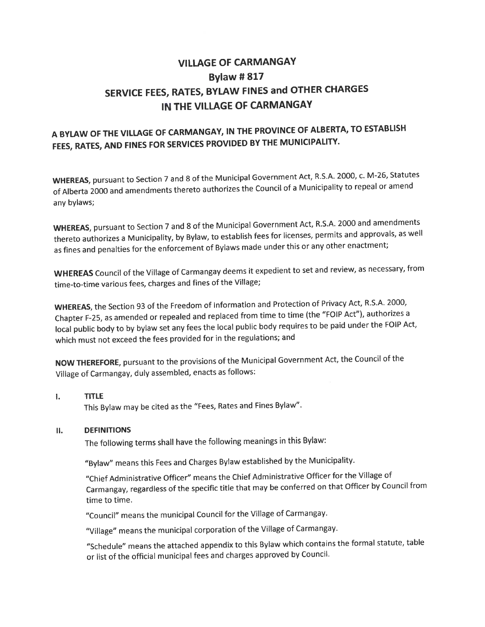## VILLAGE OF CARMANGAY **Bylaw # 817** SERVICE FEES, RATES, BYLAW FINES and OTHER CHARGES IN THE VILLAGE OF CARMANGAY

## A BYLAW OF THE VILLAGE OF CARMANGAY, IN THE PROVINCE OF ALBERTA, TO ESTABLISH FEES, RATES, AND FINES FOR SERVICES PROVIDED BY THE MUNICIPALITY.

WHEREAS, pursuan<sup>t</sup> to Section <sup>7</sup> and <sup>8</sup> of the Municipal Government Act, R.S.A. 2000, c. M-26, Statutes of Alberta <sup>2000</sup> and amendments thereto authorizes the Council of <sup>a</sup> Municipality to repea<sup>l</sup> or amend any bylaws;

WHEREAS, pursuan<sup>t</sup> to Section <sup>7</sup> and <sup>8</sup> of the Municipal Government Act, R.S.A. <sup>2000</sup> and amendments thereto authorizes <sup>a</sup> Municipality, by Bylaw, to establish fees for licenses, permits and approvals, as well as fines and penalties for the enforcement of Bylaws made under this or any other enactment;

WHEREAS Council of the Village of Carmangay deems it expedient to set and review, as necessary, from time-to-time various fees, charges and fines of the Village;

WHEREAS, the Section <sup>93</sup> of the Freedom of Information and Protection of Privacy Act, R.S.A. 2000, Chapter F-25, as amended or repealed and replaced from time to time (the "FOIP Act"), authorizes <sup>a</sup> local public body to by bylaw set any fees the local public body requires to be paid under the FOIP Act, which must not exceed the fees provided for in the regulations; and

NOW THEREFORE, pursuan<sup>t</sup> to the provisions of the Municipal Government Act, the Council of the Village of Carmangay, duly assembled, enacts as follows:

### I. TITLE

This Bylaw may be cited as the "Fees, Rates and Fines Bylaw".

### II. DEFINITIONS

The following terms shall have the following meanings in this Bylaw:

"Bylaw" means this Fees and Charges Bylaw established by the Municipality.

"Chief Administrative Officer" means the Chief Administrative Officer for the Village of Carmangay, regardless of the specific title that may be conferred on that Officer by Council from time to time.

"Council" means the municipal Council for the Village of Carmangay.

"Village" means the municipal corporation of the Village of Carmangay.

"Schedule" means the attached appendix to this Bylaw which contains the formal statute, table or list of the official municipal fees and charges approve<sup>d</sup> by Council.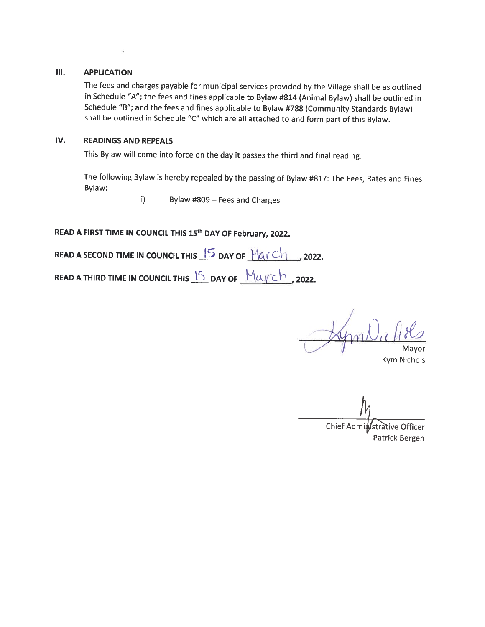#### III. APPLICATION

The fees and charges payable for municipal services provided by the Village shall be as outlined in Schedule "A"; the fees and fines applicable to Bylaw #814 (Animal Bylaw) shall be outlined in Schedule "B"; and the fees and fines applicable to Bylaw #788 (Community Standards Bylaw) shall be outlined in Schedule "C" which are all attached to and form part of this Bylaw.

### IV. READINGS AND REPEALS

This Bylaw will come into force on the day it passes the third and final reading.

The following Bylaw is hereby repealed by the passing of Bylaw #817: The Fees, Rates and Fines Bylaw:

i) Bylaw #809 — Fees and Charges

READ A FIRST TIME IN COUNCIL THIS 15<sup>th</sup> DAY OF February, 2022.

READ A SECOND TIME IN COUNCIL THIS  $\frac{15}{2}$  DAY OF  $\frac{10}{10}$   $\frac{1}{2022}$ .

READ A THIRD TIME IN COUNCIL THIS  $\sqrt{5}$  day of  $\sqrt{\frac{94}{3}}$  , 2022.

Mayor

Kym Nichols

 $\eta_{\scriptscriptstyle\!Lambda}$ 

Chief Administrative Officer Patrick Bergen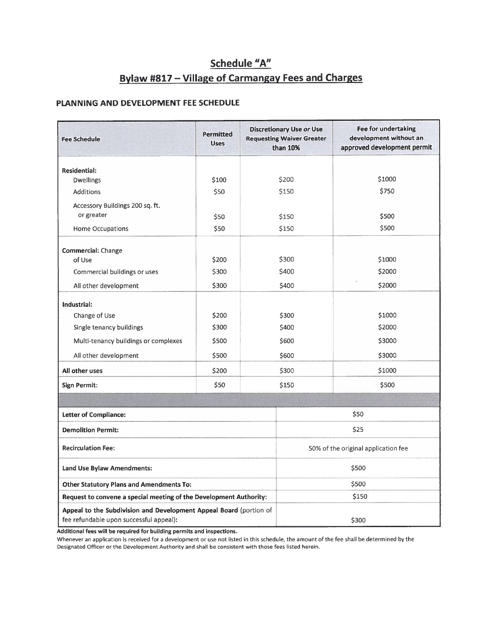## Schedule "A" Bylaw #817 — Village of Carmangay Fees and Charges

### PLANNING AND DEVELOPMENT FEE SCHEDULE

| Permitted<br><b>Fee Schedule</b><br><b>Uses</b>                                                               |       | <b>Discretionary Use or Use</b><br><b>Requesting Waiver Greater</b><br>than 10% |                                     | <b>Fee for undertaking</b><br>development without an<br>approved development permit |  |
|---------------------------------------------------------------------------------------------------------------|-------|---------------------------------------------------------------------------------|-------------------------------------|-------------------------------------------------------------------------------------|--|
| <b>Residential:</b>                                                                                           |       |                                                                                 |                                     |                                                                                     |  |
| <b>Dwellings</b>                                                                                              | \$100 |                                                                                 | \$200                               | \$1000                                                                              |  |
| <b>Additions</b>                                                                                              | \$50  |                                                                                 | \$150                               | \$750                                                                               |  |
| Accessory Buildings 200 sq. ft.                                                                               |       |                                                                                 |                                     |                                                                                     |  |
| or greater                                                                                                    | \$50  |                                                                                 | \$150                               | \$500                                                                               |  |
| Home Occupations                                                                                              | \$50  |                                                                                 | \$150                               | \$500                                                                               |  |
| Commercial: Change                                                                                            |       |                                                                                 |                                     |                                                                                     |  |
| of Use                                                                                                        | \$200 |                                                                                 | \$300                               | \$1000                                                                              |  |
| Commercial buildings or uses                                                                                  | \$300 |                                                                                 | \$400                               | \$2000                                                                              |  |
| All other development                                                                                         | \$300 |                                                                                 | \$400                               | \$2000                                                                              |  |
| Industrial:                                                                                                   |       |                                                                                 |                                     |                                                                                     |  |
| Change of Use                                                                                                 | \$200 |                                                                                 | \$300                               | \$1000                                                                              |  |
| Single tenancy buildings                                                                                      | \$300 |                                                                                 | \$400                               | \$2000                                                                              |  |
| Multi-tenancy buildings or complexes                                                                          | \$500 |                                                                                 | \$600                               | \$3000                                                                              |  |
| All other development                                                                                         | \$500 |                                                                                 | \$600                               | \$3000                                                                              |  |
| All other uses                                                                                                | \$200 |                                                                                 | \$300                               | \$1000                                                                              |  |
| <b>Sign Permit:</b>                                                                                           | \$50  |                                                                                 | \$150                               | \$500                                                                               |  |
|                                                                                                               |       |                                                                                 |                                     |                                                                                     |  |
| <b>Letter of Compliance:</b>                                                                                  |       |                                                                                 | \$50                                |                                                                                     |  |
| <b>Demolition Permit:</b>                                                                                     |       |                                                                                 | \$25                                |                                                                                     |  |
| <b>Recirculation Fee:</b>                                                                                     |       |                                                                                 | 50% of the original application fee |                                                                                     |  |
| <b>Land Use Bylaw Amendments:</b>                                                                             |       |                                                                                 | \$500                               |                                                                                     |  |
| <b>Other Statutory Plans and Amendments To:</b>                                                               |       |                                                                                 | \$500                               |                                                                                     |  |
| Request to convene a special meeting of the Development Authority:                                            |       |                                                                                 | \$150                               |                                                                                     |  |
| Appeal to the Subdivision and Development Appeal Board (portion of<br>fee refundable upon successful appeal): |       |                                                                                 | \$300                               |                                                                                     |  |

Additional fees will be required for building permits and inspections.

Whenever an application is received for a development or use not listed in this schedule, the amount of the fee shall be determined by the Designated Officer or the Development Authority and shall be consistent with those fees listed herein.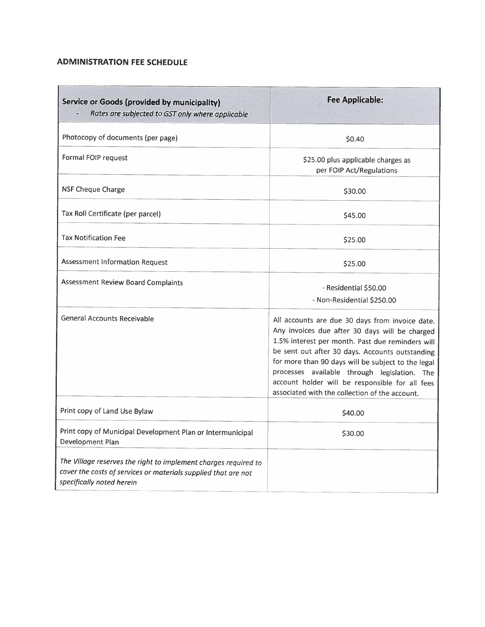### ADMINISTRATION FEE SCHEDULE

| <b>Service or Goods (provided by municipality)</b><br>Rates are subjected to GST only where applicable                                                         | <b>Fee Applicable:</b>                                                                                                                                                                                                                                                                                                                                                                                              |
|----------------------------------------------------------------------------------------------------------------------------------------------------------------|---------------------------------------------------------------------------------------------------------------------------------------------------------------------------------------------------------------------------------------------------------------------------------------------------------------------------------------------------------------------------------------------------------------------|
| Photocopy of documents (per page)                                                                                                                              | \$0.40                                                                                                                                                                                                                                                                                                                                                                                                              |
| Formal FOIP request                                                                                                                                            | \$25.00 plus applicable charges as<br>per FOIP Act/Regulations                                                                                                                                                                                                                                                                                                                                                      |
| <b>NSF Cheque Charge</b>                                                                                                                                       | \$30.00                                                                                                                                                                                                                                                                                                                                                                                                             |
| Tax Roll Certificate (per parcel)                                                                                                                              | \$45.00                                                                                                                                                                                                                                                                                                                                                                                                             |
| <b>Tax Notification Fee</b>                                                                                                                                    | \$25.00                                                                                                                                                                                                                                                                                                                                                                                                             |
| Assessment Information Request                                                                                                                                 | \$25.00                                                                                                                                                                                                                                                                                                                                                                                                             |
| <b>Assessment Review Board Complaints</b>                                                                                                                      | - Residential \$50.00<br>- Non-Residential \$250.00                                                                                                                                                                                                                                                                                                                                                                 |
| <b>General Accounts Receivable</b>                                                                                                                             | All accounts are due 30 days from invoice date.<br>Any invoices due after 30 days will be charged<br>1.5% interest per month. Past due reminders will<br>be sent out after 30 days. Accounts outstanding<br>for more than 90 days will be subject to the legal<br>processes available through legislation. The<br>account holder will be responsible for all fees<br>associated with the collection of the account. |
| Print copy of Land Use Bylaw                                                                                                                                   | \$40.00                                                                                                                                                                                                                                                                                                                                                                                                             |
| Print copy of Municipal Development Plan or Intermunicipal<br>Development Plan                                                                                 | \$30.00                                                                                                                                                                                                                                                                                                                                                                                                             |
| The Village reserves the right to implement charges required to<br>cover the costs of services or materials supplied that are not<br>specifically noted herein |                                                                                                                                                                                                                                                                                                                                                                                                                     |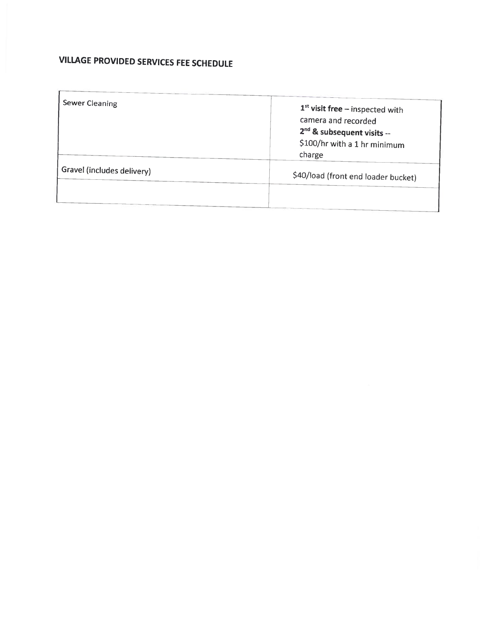# VILLAGE PROVIDED SERVICES FEE SCHEDULE

| <b>Sewer Cleaning</b>      |                                     |
|----------------------------|-------------------------------------|
|                            | $1st$ visit free – inspected with   |
|                            | camera and recorded                 |
|                            | $2nd$ & subsequent visits --        |
|                            | \$100/hr with a 1 hr minimum        |
|                            | charge                              |
| Gravel (includes delivery) | \$40/load (front end loader bucket) |
|                            |                                     |
|                            |                                     |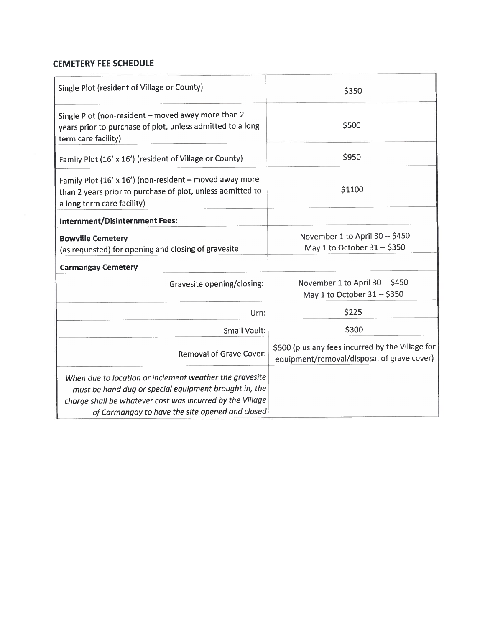### CEMETERY FEE SCHEDULE

| Single Plot (resident of Village or County)                                                                                                                                                                                      | \$350                                                                                          |  |  |
|----------------------------------------------------------------------------------------------------------------------------------------------------------------------------------------------------------------------------------|------------------------------------------------------------------------------------------------|--|--|
| Single Plot (non-resident - moved away more than 2<br>years prior to purchase of plot, unless admitted to a long<br>term care facility)                                                                                          | \$500                                                                                          |  |  |
| Family Plot (16' x 16') (resident of Village or County)                                                                                                                                                                          | \$950                                                                                          |  |  |
| Family Plot (16' x 16') (non-resident - moved away more<br>than 2 years prior to purchase of plot, unless admitted to<br>a long term care facility)                                                                              | \$1100                                                                                         |  |  |
| Internment/Disinternment Fees:                                                                                                                                                                                                   |                                                                                                |  |  |
| <b>Bowville Cemetery</b><br>(as requested) for opening and closing of gravesite                                                                                                                                                  | November 1 to April 30 -- \$450<br>May 1 to October 31 -- \$350                                |  |  |
| <b>Carmangay Cemetery</b>                                                                                                                                                                                                        |                                                                                                |  |  |
| Gravesite opening/closing:                                                                                                                                                                                                       | November 1 to April 30 -- \$450<br>May 1 to October 31 -- \$350                                |  |  |
| Urn:                                                                                                                                                                                                                             | \$225                                                                                          |  |  |
| <b>Small Vault:</b>                                                                                                                                                                                                              | \$300                                                                                          |  |  |
| <b>Removal of Grave Cover:</b>                                                                                                                                                                                                   | \$500 (plus any fees incurred by the Village for<br>equipment/removal/disposal of grave cover) |  |  |
| When due to location or inclement weather the gravesite<br>must be hand dug or special equipment brought in, the<br>charge shall be whatever cost was incurred by the Village<br>of Carmangay to have the site opened and closed |                                                                                                |  |  |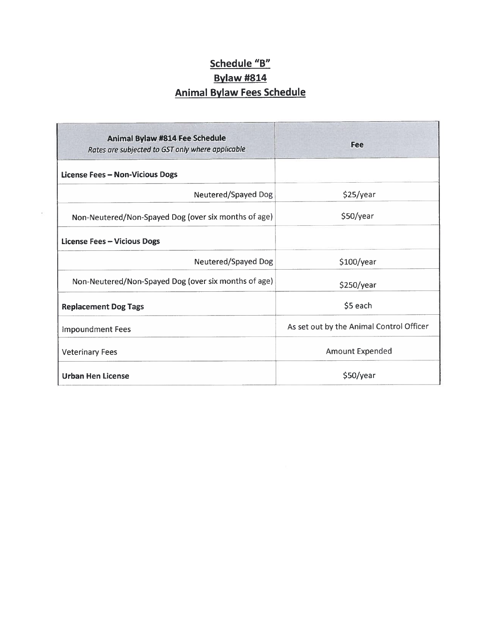# Schedule "B" Bylaw #814 Animal Bylaw Fees Schedule

| <b>Animal Bylaw #814 Fee Schedule</b><br>Rates are subjected to GST only where applicable | Fee                                      |  |  |
|-------------------------------------------------------------------------------------------|------------------------------------------|--|--|
| <b>License Fees - Non-Vicious Dogs</b>                                                    |                                          |  |  |
| Neutered/Spayed Dog                                                                       | \$25/year                                |  |  |
| Non-Neutered/Non-Spayed Dog (over six months of age)                                      | \$50/year                                |  |  |
| <b>License Fees - Vicious Dogs</b>                                                        |                                          |  |  |
| Neutered/Spayed Dog                                                                       | \$100/year                               |  |  |
| Non-Neutered/Non-Spayed Dog (over six months of age)                                      | \$250/year                               |  |  |
| <b>Replacement Dog Tags</b>                                                               | \$5 each                                 |  |  |
| <b>Impoundment Fees</b>                                                                   | As set out by the Animal Control Officer |  |  |
| <b>Veterinary Fees</b>                                                                    | <b>Amount Expended</b>                   |  |  |
| <b>Urban Hen License</b>                                                                  | \$50/year                                |  |  |

 $\hat{\mathbf{z}}$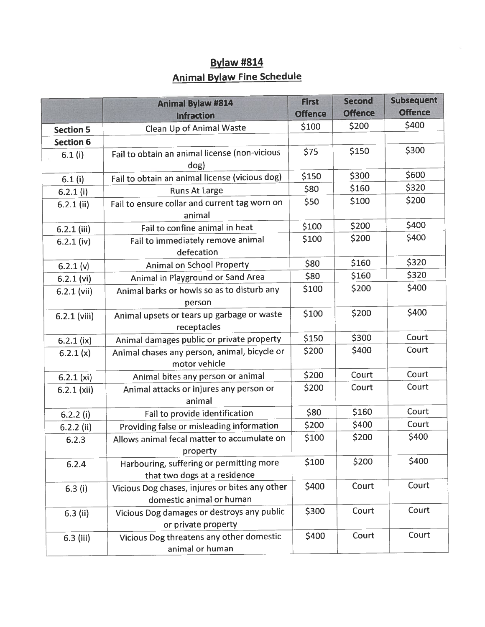# Bylaw #814 Animal Bylaw Fine Schedule

|                  | <b>Animal Bylaw #814</b>                                                   | <b>First</b>   | <b>Second</b>  | <b>Subsequent</b> |
|------------------|----------------------------------------------------------------------------|----------------|----------------|-------------------|
|                  | <b>Infraction</b>                                                          | <b>Offence</b> | <b>Offence</b> | <b>Offence</b>    |
| <b>Section 5</b> | Clean Up of Animal Waste                                                   | \$100          | \$200          | \$400             |
| <b>Section 6</b> |                                                                            |                |                |                   |
| 6.1(i)           | Fail to obtain an animal license (non-vicious<br>dog)                      | \$75           | \$150          | \$300             |
| 6.1(i)           | Fail to obtain an animal license (vicious dog)                             | \$150          | \$300          | \$600             |
| $6.2.1$ (i)      | <b>Runs At Large</b>                                                       | \$80           | \$160          | \$320             |
| $6.2.1$ (ii)     | Fail to ensure collar and current tag worn on<br>animal                    | \$50           | \$100          | \$200             |
| $6.2.1$ (iii)    | Fail to confine animal in heat                                             | \$100          | \$200          | \$400             |
| $6.2.1$ (iv)     | Fail to immediately remove animal<br>defecation                            | \$100          | \$200          | \$400             |
| 6.2.1 (v)        | <b>Animal on School Property</b>                                           | \$80           | \$160          | \$320             |
| $6.2.1$ (vi)     | Animal in Playground or Sand Area                                          | \$80           | \$160          | \$320             |
| $6.2.1$ (vii)    | Animal barks or howls so as to disturb any<br>person                       | \$100          | \$200          | \$400             |
| $6.2.1$ (viii)   | Animal upsets or tears up garbage or waste<br>receptacles                  | \$100          | \$200          | \$400             |
| $6.2.1$ (ix)     | Animal damages public or private property                                  | \$150          | \$300          | Court             |
| 6.2.1(x)         | Animal chases any person, animal, bicycle or<br>motor vehicle              | \$200          | \$400          | Court             |
| 6.2.1 (xi)       | Animal bites any person or animal                                          | \$200          | Court          | Court             |
| $6.2.1$ (xii)    | Animal attacks or injures any person or<br>animal                          | \$200          | Court          | Court             |
| $6.2.2$ (i)      | Fail to provide identification                                             | \$80           | \$160          | Court             |
| $6.2.2$ (ii)     | Providing false or misleading information                                  | \$200          | \$400          | Court             |
| 6.2.3            | Allows animal fecal matter to accumulate on<br>property                    | \$100          | \$200          | \$400             |
| 6.2.4            | Harbouring, suffering or permitting more<br>that two dogs at a residence   | \$100          | \$200          | \$400             |
| 6.3(i)           | Vicious Dog chases, injures or bites any other<br>domestic animal or human | \$400          | Court          | Court             |
| $6.3$ (ii)       | Vicious Dog damages or destroys any public<br>or private property          | \$300          | Court          | Court             |
| 6.3 (iii)        | Vicious Dog threatens any other domestic<br>animal or human                | \$400          | Court          | Court             |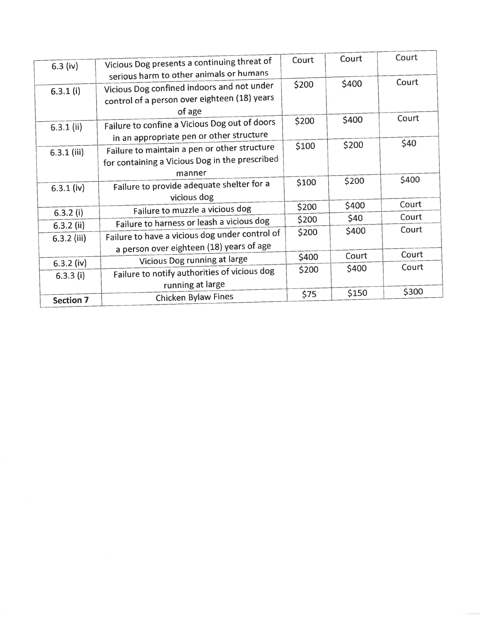| $6.3$ (iv)       | Vicious Dog presents a continuing threat of    | Court | Court | Court |
|------------------|------------------------------------------------|-------|-------|-------|
|                  | serious harm to other animals or humans        |       |       | Court |
| $6.3.1$ (i)      | Vicious Dog confined indoors and not under     | \$200 | \$400 |       |
|                  | control of a person over eighteen (18) years   |       |       |       |
|                  | of age                                         |       |       |       |
| $6.3.1$ (ii)     | Failure to confine a Vicious Dog out of doors  | \$200 | \$400 | Court |
|                  | in an appropriate pen or other structure       |       |       |       |
| $6.3.1$ (iii)    | Failure to maintain a pen or other structure   | \$100 | \$200 | \$40  |
|                  | for containing a Vicious Dog in the prescribed |       |       |       |
|                  | manner                                         |       |       |       |
|                  | Failure to provide adequate shelter for a      | \$100 | \$200 | \$400 |
| $6.3.1$ (iv)     | vicious dog                                    |       |       |       |
|                  |                                                | \$200 | \$400 | Court |
| $6.3.2$ (i)      | Failure to muzzle a vicious dog                | \$200 | \$40  | Court |
| $6.3.2$ (ii)     | Failure to harness or leash a vicious dog      |       | \$400 | Court |
| $6.3.2$ (iii)    | Failure to have a vicious dog under control of | \$200 |       |       |
|                  | a person over eighteen (18) years of age       |       |       |       |
| $6.3.2$ (iv)     | Vicious Dog running at large                   | \$400 | Court | Court |
| $6.3.3$ (i)      | Failure to notify authorities of vicious dog   | \$200 | \$400 | Court |
|                  | running at large                               |       |       |       |
|                  | <b>Chicken Bylaw Fines</b>                     | \$75  | \$150 | \$300 |
| <b>Section 7</b> |                                                |       |       |       |